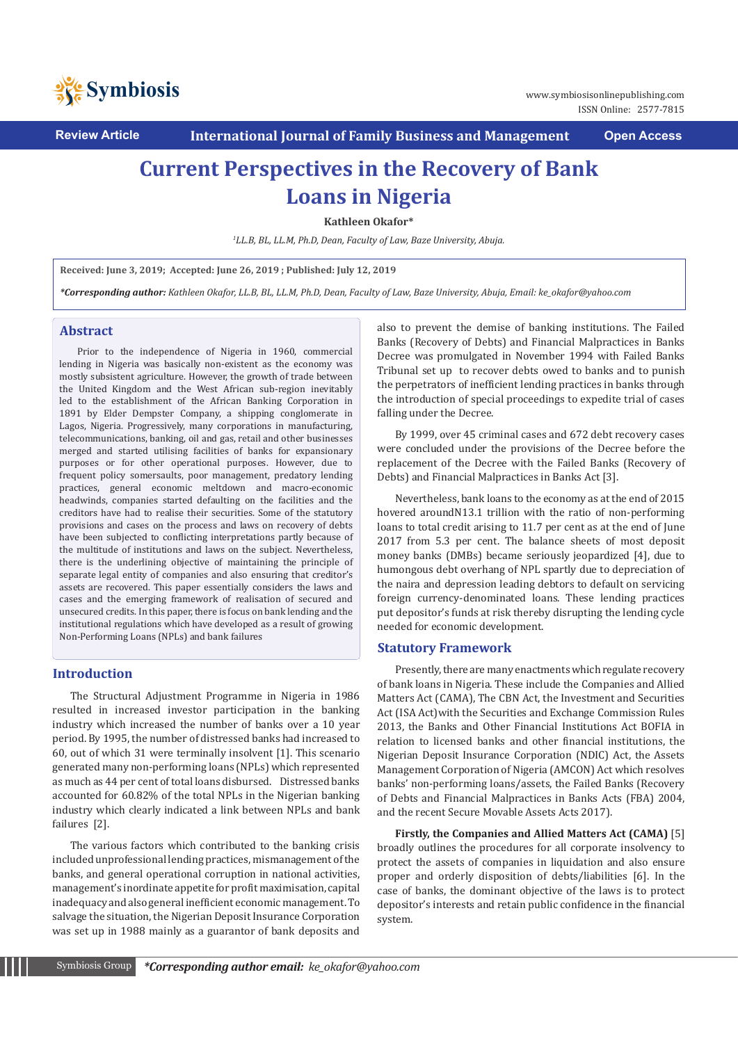

**Review Article International Journal of Family Business and Management Open Access**

# **Current Perspectives in the Recovery of Bank Loans in Nigeria**

**Kathleen Okafor\***

*1 LL.B, BL, LL.M, Ph.D, Dean, Faculty of Law, Baze University, Abuja.* 

**Received: June 3, 2019; Accepted: June 26, 2019 ; Published: July 12, 2019**

*\*Corresponding author: Kathleen Okafor, LL.B, BL, LL.M, Ph.D, Dean, Faculty of Law, Baze University, Abuja, Email: ke\_okafor@yahoo.com*

# **Abstract**

Prior to the independence of Nigeria in 1960, commercial lending in Nigeria was basically non-existent as the economy was mostly subsistent agriculture. However, the growth of trade between the United Kingdom and the West African sub-region inevitably led to the establishment of the African Banking Corporation in 1891 by Elder Dempster Company, a shipping conglomerate in Lagos, Nigeria. Progressively, many corporations in manufacturing, telecommunications, banking, oil and gas, retail and other businesses merged and started utilising facilities of banks for expansionary purposes or for other operational purposes. However, due to frequent policy somersaults, poor management, predatory lending practices, general economic meltdown and macro-economic headwinds, companies started defaulting on the facilities and the creditors have had to realise their securities. Some of the statutory provisions and cases on the process and laws on recovery of debts have been subjected to conflicting interpretations partly because of the multitude of institutions and laws on the subject. Nevertheless, there is the underlining objective of maintaining the principle of separate legal entity of companies and also ensuring that creditor's assets are recovered. This paper essentially considers the laws and cases and the emerging framework of realisation of secured and unsecured credits. In this paper, there is focus on bank lending and the institutional regulations which have developed as a result of growing Non-Performing Loans (NPLs) and bank failures

### **Introduction**

The Structural Adjustment Programme in Nigeria in 1986 resulted in increased investor participation in the banking industry which increased the number of banks over a 10 year period. By 1995, the number of distressed banks had increased to 60, out of which 31 were terminally insolvent [1]. This scenario generated many non-performing loans (NPLs) which represented as much as 44 per cent of total loans disbursed. Distressed banks accounted for 60.82% of the total NPLs in the Nigerian banking industry which clearly indicated a link between NPLs and bank failures [2].

The various factors which contributed to the banking crisis included unprofessional lending practices, mismanagement of the banks, and general operational corruption in national activities, management's inordinate appetite for profit maximisation, capital inadequacy and also general inefficient economic management. To salvage the situation, the Nigerian Deposit Insurance Corporation was set up in 1988 mainly as a guarantor of bank deposits and also to prevent the demise of banking institutions. The Failed Banks (Recovery of Debts) and Financial Malpractices in Banks Decree was promulgated in November 1994 with Failed Banks Tribunal set up to recover debts owed to banks and to punish the perpetrators of inefficient lending practices in banks through the introduction of special proceedings to expedite trial of cases falling under the Decree.

By 1999, over 45 criminal cases and 672 debt recovery cases were concluded under the provisions of the Decree before the replacement of the Decree with the Failed Banks (Recovery of Debts) and Financial Malpractices in Banks Act [3].

Nevertheless, bank loans to the economy as at the end of 2015 hovered aroundN13.1 trillion with the ratio of non-performing loans to total credit arising to 11.7 per cent as at the end of June 2017 from 5.3 per cent. The balance sheets of most deposit money banks (DMBs) became seriously jeopardized [4], due to humongous debt overhang of NPL spartly due to depreciation of the naira and depression leading debtors to default on servicing foreign currency-denominated loans. These lending practices put depositor's funds at risk thereby disrupting the lending cycle needed for economic development.

# **Statutory Framework**

Presently, there are many enactments which regulate recovery of bank loans in Nigeria. These include the Companies and Allied Matters Act (CAMA), The CBN Act, the Investment and Securities Act (ISA Act)with the Securities and Exchange Commission Rules 2013, the Banks and Other Financial Institutions Act BOFIA in relation to licensed banks and other financial institutions, the Nigerian Deposit Insurance Corporation (NDIC) Act, the Assets Management Corporation of Nigeria (AMCON) Act which resolves banks' non-performing loans/assets, the Failed Banks (Recovery of Debts and Financial Malpractices in Banks Acts (FBA) 2004, and the recent Secure Movable Assets Acts 2017).

**Firstly, the Companies and Allied Matters Act (CAMA)** [5] broadly outlines the procedures for all corporate insolvency to protect the assets of companies in liquidation and also ensure proper and orderly disposition of debts/liabilities [6]. In the case of banks, the dominant objective of the laws is to protect depositor's interests and retain public confidence in the financial system.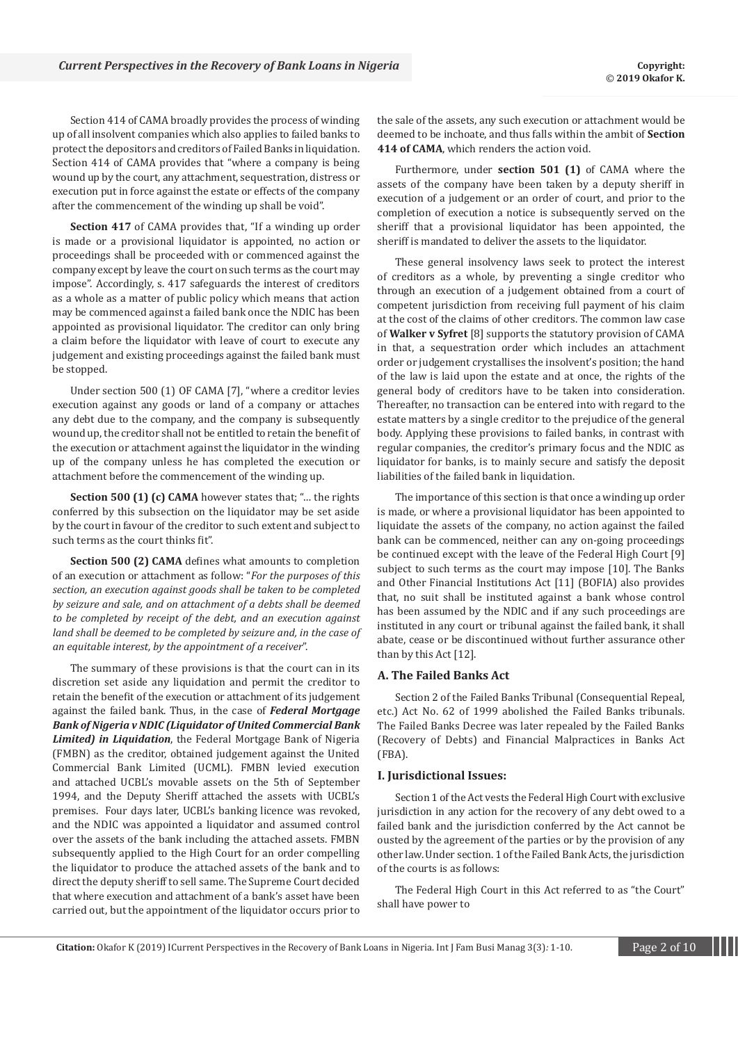Section 414 of CAMA broadly provides the process of winding up of all insolvent companies which also applies to failed banks to protect the depositors and creditors of Failed Banks in liquidation. Section 414 of CAMA provides that "where a company is being wound up by the court, any attachment, sequestration, distress or execution put in force against the estate or effects of the company after the commencement of the winding up shall be void".

**Section 417** of CAMA provides that, "If a winding up order is made or a provisional liquidator is appointed, no action or proceedings shall be proceeded with or commenced against the company except by leave the court on such terms as the court may impose". Accordingly, s. 417 safeguards the interest of creditors as a whole as a matter of public policy which means that action may be commenced against a failed bank once the NDIC has been appointed as provisional liquidator. The creditor can only bring a claim before the liquidator with leave of court to execute any judgement and existing proceedings against the failed bank must be stopped.

Under section 500 (1) OF CAMA [7], "where a creditor levies execution against any goods or land of a company or attaches any debt due to the company, and the company is subsequently wound up, the creditor shall not be entitled to retain the benefit of the execution or attachment against the liquidator in the winding up of the company unless he has completed the execution or attachment before the commencement of the winding up.

**Section 500 (1) (c) CAMA** however states that; "… the rights conferred by this subsection on the liquidator may be set aside by the court in favour of the creditor to such extent and subject to such terms as the court thinks fit".

**Section 500 (2) CAMA** defines what amounts to completion of an execution or attachment as follow: "*For the purposes of this section, an execution against goods shall be taken to be completed by seizure and sale, and on attachment of a debts shall be deemed to be completed by receipt of the debt, and an execution against land shall be deemed to be completed by seizure and, in the case of an equitable interest, by the appointment of a receiver*".

The summary of these provisions is that the court can in its discretion set aside any liquidation and permit the creditor to retain the benefit of the execution or attachment of its judgement against the failed bank. Thus, in the case of *Federal Mortgage Bank of Nigeria v NDIC (Liquidator of United Commercial Bank Limited) in Liquidation*, the Federal Mortgage Bank of Nigeria (FMBN) as the creditor, obtained judgement against the United Commercial Bank Limited (UCML). FMBN levied execution and attached UCBL's movable assets on the 5th of September 1994, and the Deputy Sheriff attached the assets with UCBL's premises. Four days later, UCBL's banking licence was revoked, and the NDIC was appointed a liquidator and assumed control over the assets of the bank including the attached assets. FMBN subsequently applied to the High Court for an order compelling the liquidator to produce the attached assets of the bank and to direct the deputy sheriff to sell same. The Supreme Court decided that where execution and attachment of a bank's asset have been carried out, but the appointment of the liquidator occurs prior to the sale of the assets, any such execution or attachment would be deemed to be inchoate, and thus falls within the ambit of **Section 414 of CAMA**, which renders the action void.

Furthermore, under **section 501 (1)** of CAMA where the assets of the company have been taken by a deputy sheriff in execution of a judgement or an order of court, and prior to the completion of execution a notice is subsequently served on the sheriff that a provisional liquidator has been appointed, the sheriff is mandated to deliver the assets to the liquidator.

These general insolvency laws seek to protect the interest of creditors as a whole, by preventing a single creditor who through an execution of a judgement obtained from a court of competent jurisdiction from receiving full payment of his claim at the cost of the claims of other creditors. The common law case of **Walker v Syfret** [8] supports the statutory provision of CAMA in that, a sequestration order which includes an attachment order or judgement crystallises the insolvent's position; the hand of the law is laid upon the estate and at once, the rights of the general body of creditors have to be taken into consideration. Thereafter, no transaction can be entered into with regard to the estate matters by a single creditor to the prejudice of the general body. Applying these provisions to failed banks, in contrast with regular companies, the creditor's primary focus and the NDIC as liquidator for banks, is to mainly secure and satisfy the deposit liabilities of the failed bank in liquidation.

The importance of this section is that once a winding up order is made, or where a provisional liquidator has been appointed to liquidate the assets of the company, no action against the failed bank can be commenced, neither can any on-going proceedings be continued except with the leave of the Federal High Court [9] subject to such terms as the court may impose [10]. The Banks and Other Financial Institutions Act [11] (BOFIA) also provides that, no suit shall be instituted against a bank whose control has been assumed by the NDIC and if any such proceedings are instituted in any court or tribunal against the failed bank, it shall abate, cease or be discontinued without further assurance other than by this Act [12].

# **A. The Failed Banks Act**

Section 2 of the Failed Banks Tribunal (Consequential Repeal, etc.) Act No. 62 of 1999 abolished the Failed Banks tribunals. The Failed Banks Decree was later repealed by the Failed Banks (Recovery of Debts) and Financial Malpractices in Banks Act (FBA).

#### **I. Jurisdictional Issues:**

Section 1 of the Act vests the Federal High Court with exclusive jurisdiction in any action for the recovery of any debt owed to a failed bank and the jurisdiction conferred by the Act cannot be ousted by the agreement of the parties or by the provision of any other law. Under section. 1 of the Failed Bank Acts, the jurisdiction of the courts is as follows:

The Federal High Court in this Act referred to as "the Court" shall have power to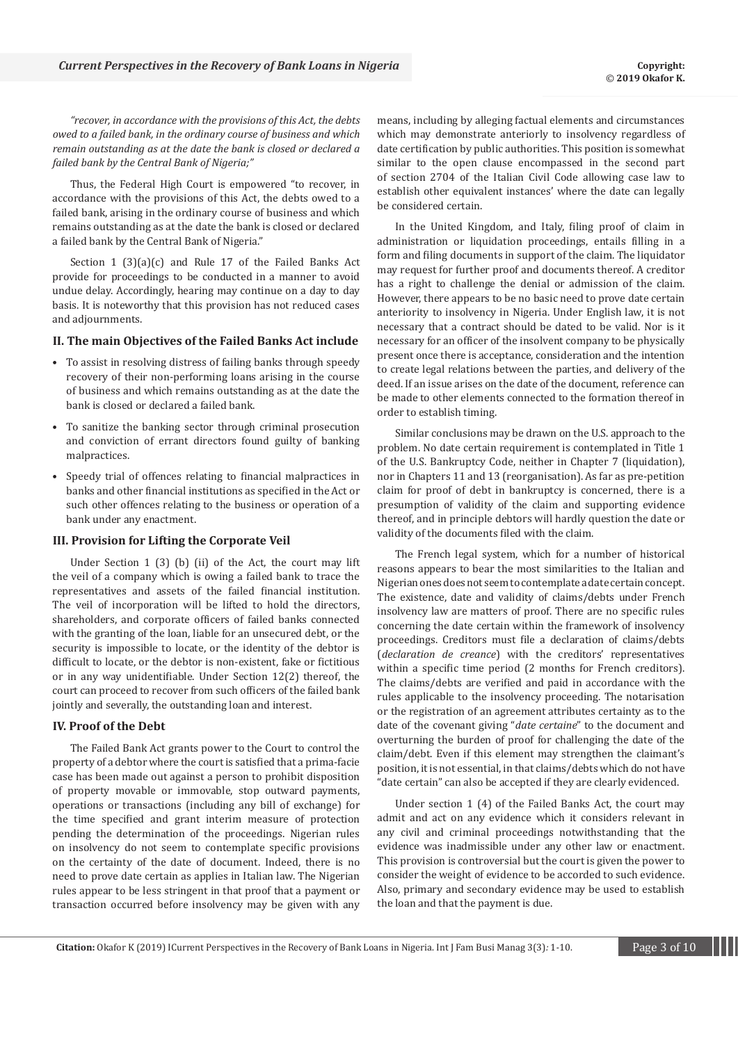*"recover, in accordance with the provisions of this Act, the debts owed to a failed bank, in the ordinary course of business and which remain outstanding as at the date the bank is closed or declared a failed bank by the Central Bank of Nigeria;"*

Thus, the Federal High Court is empowered "to recover, in accordance with the provisions of this Act, the debts owed to a failed bank, arising in the ordinary course of business and which remains outstanding as at the date the bank is closed or declared a failed bank by the Central Bank of Nigeria."

Section 1 (3)(a)(c) and Rule 17 of the Failed Banks Act provide for proceedings to be conducted in a manner to avoid undue delay. Accordingly, hearing may continue on a day to day basis. It is noteworthy that this provision has not reduced cases and adjournments.

#### **II. The main Objectives of the Failed Banks Act include**

- To assist in resolving distress of failing banks through speedy recovery of their non-performing loans arising in the course of business and which remains outstanding as at the date the bank is closed or declared a failed bank.
- To sanitize the banking sector through criminal prosecution and conviction of errant directors found guilty of banking malpractices.
- Speedy trial of offences relating to financial malpractices in banks and other financial institutions as specified in the Act or such other offences relating to the business or operation of a bank under any enactment.

#### **III. Provision for Lifting the Corporate Veil**

Under Section 1 (3) (b) (ii) of the Act, the court may lift the veil of a company which is owing a failed bank to trace the representatives and assets of the failed financial institution. The veil of incorporation will be lifted to hold the directors, shareholders, and corporate officers of failed banks connected with the granting of the loan, liable for an unsecured debt, or the security is impossible to locate, or the identity of the debtor is difficult to locate, or the debtor is non-existent, fake or fictitious or in any way unidentifiable. Under Section 12(2) thereof, the court can proceed to recover from such officers of the failed bank jointly and severally, the outstanding loan and interest.

#### **IV. Proof of the Debt**

The Failed Bank Act grants power to the Court to control the property of a debtor where the court is satisfied that a prima-facie case has been made out against a person to prohibit disposition of property movable or immovable, stop outward payments, operations or transactions (including any bill of exchange) for the time specified and grant interim measure of protection pending the determination of the proceedings. Nigerian rules on insolvency do not seem to contemplate specific provisions on the certainty of the date of document. Indeed, there is no need to prove date certain as applies in Italian law. The Nigerian rules appear to be less stringent in that proof that a payment or transaction occurred before insolvency may be given with any

means, including by alleging factual elements and circumstances which may demonstrate anteriorly to insolvency regardless of date certification by public authorities. This position is somewhat similar to the open clause encompassed in the second part of section 2704 of the Italian Civil Code allowing case law to establish other equivalent instances' where the date can legally be considered certain.

In the United Kingdom, and Italy, filing proof of claim in administration or liquidation proceedings, entails filling in a form and filing documents in support of the claim. The liquidator may request for further proof and documents thereof. A creditor has a right to challenge the denial or admission of the claim. However, there appears to be no basic need to prove date certain anteriority to insolvency in Nigeria. Under English law, it is not necessary that a contract should be dated to be valid. Nor is it necessary for an officer of the insolvent company to be physically present once there is acceptance, consideration and the intention to create legal relations between the parties, and delivery of the deed. If an issue arises on the date of the document, reference can be made to other elements connected to the formation thereof in order to establish timing.

Similar conclusions may be drawn on the U.S. approach to the problem. No date certain requirement is contemplated in Title 1 of the U.S. Bankruptcy Code, neither in Chapter 7 (liquidation), nor in Chapters 11 and 13 (reorganisation). As far as pre-petition claim for proof of debt in bankruptcy is concerned, there is a presumption of validity of the claim and supporting evidence thereof, and in principle debtors will hardly question the date or validity of the documents filed with the claim.

The French legal system, which for a number of historical reasons appears to bear the most similarities to the Italian and Nigerian ones does not seem to contemplate a date certain concept. The existence, date and validity of claims/debts under French insolvency law are matters of proof. There are no specific rules concerning the date certain within the framework of insolvency proceedings. Creditors must file a declaration of claims/debts (*declaration de creance*) with the creditors' representatives within a specific time period (2 months for French creditors). The claims/debts are verified and paid in accordance with the rules applicable to the insolvency proceeding. The notarisation or the registration of an agreement attributes certainty as to the date of the covenant giving "*date certaine*" to the document and overturning the burden of proof for challenging the date of the claim/debt. Even if this element may strengthen the claimant's position, it is not essential, in that claims/debts which do not have "date certain" can also be accepted if they are clearly evidenced.

Under section 1 (4) of the Failed Banks Act, the court may admit and act on any evidence which it considers relevant in any civil and criminal proceedings notwithstanding that the evidence was inadmissible under any other law or enactment. This provision is controversial but the court is given the power to consider the weight of evidence to be accorded to such evidence. Also, primary and secondary evidence may be used to establish the loan and that the payment is due.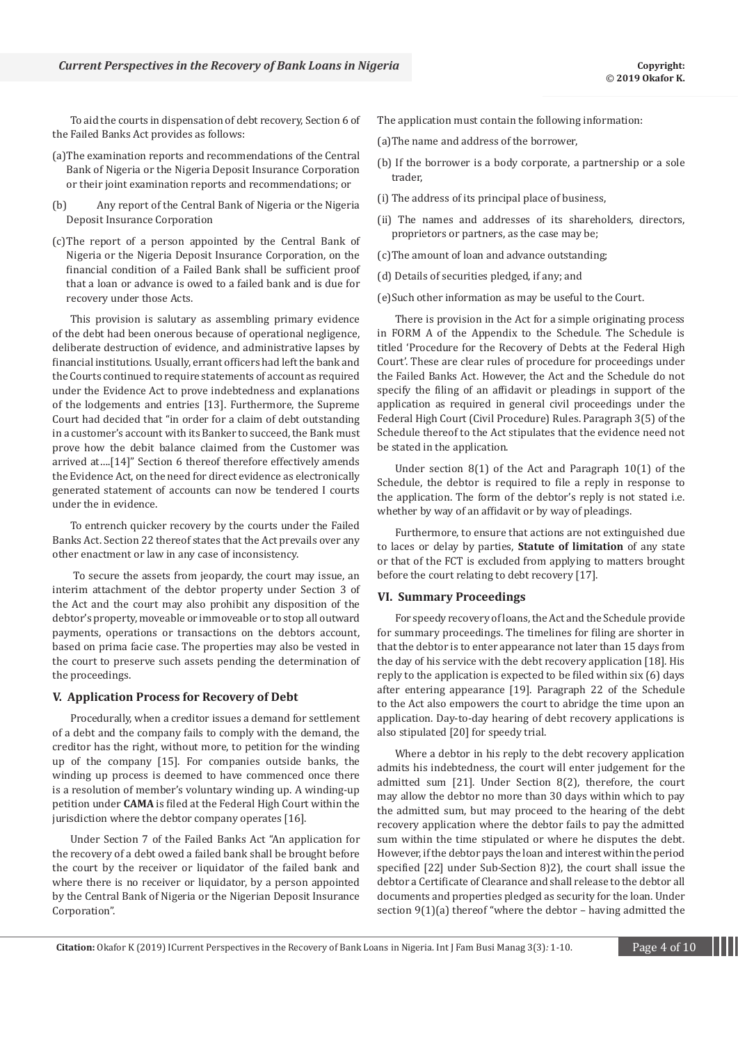To aid the courts in dispensation of debt recovery, Section 6 of the Failed Banks Act provides as follows:

- (a)The examination reports and recommendations of the Central Bank of Nigeria or the Nigeria Deposit Insurance Corporation or their joint examination reports and recommendations; or
- (b) Any report of the Central Bank of Nigeria or the Nigeria Deposit Insurance Corporation
- (c)The report of a person appointed by the Central Bank of Nigeria or the Nigeria Deposit Insurance Corporation, on the financial condition of a Failed Bank shall be sufficient proof that a loan or advance is owed to a failed bank and is due for recovery under those Acts.

This provision is salutary as assembling primary evidence of the debt had been onerous because of operational negligence, deliberate destruction of evidence, and administrative lapses by financial institutions. Usually, errant officers had left the bank and the Courts continued to require statements of account as required under the Evidence Act to prove indebtedness and explanations of the lodgements and entries [13]. Furthermore, the Supreme Court had decided that "in order for a claim of debt outstanding in a customer's account with its Banker to succeed, the Bank must prove how the debit balance claimed from the Customer was arrived at….[14]" Section 6 thereof therefore effectively amends the Evidence Act, on the need for direct evidence as electronically generated statement of accounts can now be tendered I courts under the in evidence.

To entrench quicker recovery by the courts under the Failed Banks Act. Section 22 thereof states that the Act prevails over any other enactment or law in any case of inconsistency.

 To secure the assets from jeopardy, the court may issue, an interim attachment of the debtor property under Section 3 of the Act and the court may also prohibit any disposition of the debtor's property, moveable or immoveable or to stop all outward payments, operations or transactions on the debtors account, based on prima facie case. The properties may also be vested in the court to preserve such assets pending the determination of the proceedings.

#### **V. Application Process for Recovery of Debt**

Procedurally, when a creditor issues a demand for settlement of a debt and the company fails to comply with the demand, the creditor has the right, without more, to petition for the winding up of the company [15]. For companies outside banks, the winding up process is deemed to have commenced once there is a resolution of member's voluntary winding up. A winding-up petition under **CAMA** is filed at the Federal High Court within the jurisdiction where the debtor company operates [16].

Under Section 7 of the Failed Banks Act "An application for the recovery of a debt owed a failed bank shall be brought before the court by the receiver or liquidator of the failed bank and where there is no receiver or liquidator, by a person appointed by the Central Bank of Nigeria or the Nigerian Deposit Insurance Corporation".

- The application must contain the following information:
- (a)The name and address of the borrower,
- (b) If the borrower is a body corporate, a partnership or a sole trader,
- (i) The address of its principal place of business,
- (ii) The names and addresses of its shareholders, directors, proprietors or partners, as the case may be;
- (c)The amount of loan and advance outstanding;
- (d) Details of securities pledged, if any; and
- (e)Such other information as may be useful to the Court.

There is provision in the Act for a simple originating process in FORM A of the Appendix to the Schedule. The Schedule is titled 'Procedure for the Recovery of Debts at the Federal High Court'. These are clear rules of procedure for proceedings under the Failed Banks Act. However, the Act and the Schedule do not specify the filing of an affidavit or pleadings in support of the application as required in general civil proceedings under the Federal High Court (Civil Procedure) Rules. Paragraph 3(5) of the Schedule thereof to the Act stipulates that the evidence need not be stated in the application.

Under section 8(1) of the Act and Paragraph 10(1) of the Schedule, the debtor is required to file a reply in response to the application. The form of the debtor's reply is not stated i.e. whether by way of an affidavit or by way of pleadings.

Furthermore, to ensure that actions are not extinguished due to laces or delay by parties, **Statute of limitation** of any state or that of the FCT is excluded from applying to matters brought before the court relating to debt recovery [17].

#### **VI. Summary Proceedings**

For speedy recovery of loans, the Act and the Schedule provide for summary proceedings. The timelines for filing are shorter in that the debtor is to enter appearance not later than 15 days from the day of his service with the debt recovery application [18]. His reply to the application is expected to be filed within six (6) days after entering appearance [19]. Paragraph 22 of the Schedule to the Act also empowers the court to abridge the time upon an application. Day-to-day hearing of debt recovery applications is also stipulated [20] for speedy trial.

Where a debtor in his reply to the debt recovery application admits his indebtedness, the court will enter judgement for the admitted sum [21]. Under Section 8(2), therefore, the court may allow the debtor no more than 30 days within which to pay the admitted sum, but may proceed to the hearing of the debt recovery application where the debtor fails to pay the admitted sum within the time stipulated or where he disputes the debt. However, if the debtor pays the loan and interest within the period specified [22] under Sub-Section 8)2), the court shall issue the debtor a Certificate of Clearance and shall release to the debtor all documents and properties pledged as security for the loan. Under section 9(1)(a) thereof "where the debtor – having admitted the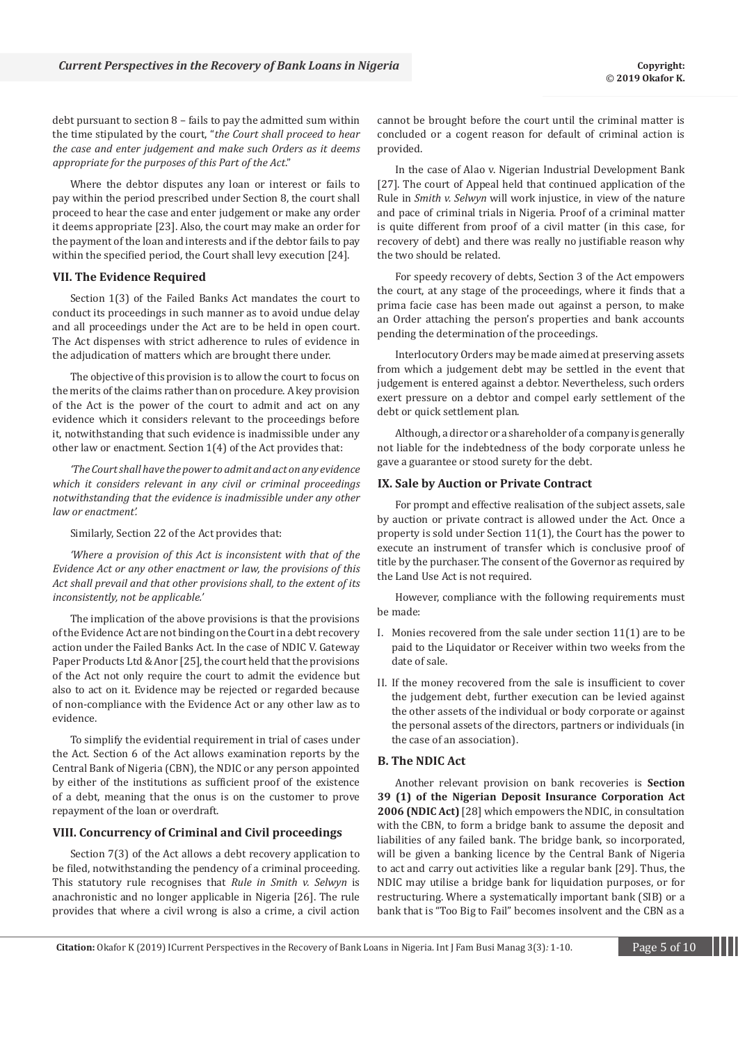debt pursuant to section 8 – fails to pay the admitted sum within the time stipulated by the court, "*the Court shall proceed to hear the case and enter judgement and make such Orders as it deems appropriate for the purposes of this Part of the Act*."

Where the debtor disputes any loan or interest or fails to pay within the period prescribed under Section 8, the court shall proceed to hear the case and enter judgement or make any order it deems appropriate [23]. Also, the court may make an order for the payment of the loan and interests and if the debtor fails to pay within the specified period, the Court shall levy execution [24].

#### **VII. The Evidence Required**

Section 1(3) of the Failed Banks Act mandates the court to conduct its proceedings in such manner as to avoid undue delay and all proceedings under the Act are to be held in open court. The Act dispenses with strict adherence to rules of evidence in the adjudication of matters which are brought there under.

The objective of this provision is to allow the court to focus on the merits of the claims rather than on procedure. A key provision of the Act is the power of the court to admit and act on any evidence which it considers relevant to the proceedings before it, notwithstanding that such evidence is inadmissible under any other law or enactment. Section 1(4) of the Act provides that:

*'The Court shall have the power to admit and act on any evidence which it considers relevant in any civil or criminal proceedings notwithstanding that the evidence is inadmissible under any other law or enactment'.*

Similarly, Section 22 of the Act provides that:

*'Where a provision of this Act is inconsistent with that of the Evidence Act or any other enactment or law, the provisions of this Act shall prevail and that other provisions shall, to the extent of its inconsistently, not be applicable.'*

The implication of the above provisions is that the provisions of the Evidence Act are not binding on the Court in a debt recovery action under the Failed Banks Act. In the case of NDIC V. Gateway Paper Products Ltd & Anor [25], the court held that the provisions of the Act not only require the court to admit the evidence but also to act on it. Evidence may be rejected or regarded because of non-compliance with the Evidence Act or any other law as to evidence.

To simplify the evidential requirement in trial of cases under the Act. Section 6 of the Act allows examination reports by the Central Bank of Nigeria (CBN), the NDIC or any person appointed by either of the institutions as sufficient proof of the existence of a debt, meaning that the onus is on the customer to prove repayment of the loan or overdraft.

#### **VIII. Concurrency of Criminal and Civil proceedings**

Section 7(3) of the Act allows a debt recovery application to be filed, notwithstanding the pendency of a criminal proceeding. This statutory rule recognises that *Rule in Smith v. Selwyn* is anachronistic and no longer applicable in Nigeria [26]. The rule provides that where a civil wrong is also a crime, a civil action cannot be brought before the court until the criminal matter is concluded or a cogent reason for default of criminal action is provided.

In the case of Alao v. Nigerian Industrial Development Bank [27]. The court of Appeal held that continued application of the Rule in *Smith v. Selwyn* will work injustice, in view of the nature and pace of criminal trials in Nigeria. Proof of a criminal matter is quite different from proof of a civil matter (in this case, for recovery of debt) and there was really no justifiable reason why the two should be related.

For speedy recovery of debts, Section 3 of the Act empowers the court, at any stage of the proceedings, where it finds that a prima facie case has been made out against a person, to make an Order attaching the person's properties and bank accounts pending the determination of the proceedings.

Interlocutory Orders may be made aimed at preserving assets from which a judgement debt may be settled in the event that judgement is entered against a debtor. Nevertheless, such orders exert pressure on a debtor and compel early settlement of the debt or quick settlement plan.

Although, a director or a shareholder of a company is generally not liable for the indebtedness of the body corporate unless he gave a guarantee or stood surety for the debt.

#### **IX. Sale by Auction or Private Contract**

For prompt and effective realisation of the subject assets, sale by auction or private contract is allowed under the Act. Once a property is sold under Section 11(1), the Court has the power to execute an instrument of transfer which is conclusive proof of title by the purchaser. The consent of the Governor as required by the Land Use Act is not required.

However, compliance with the following requirements must be made:

- I. Monies recovered from the sale under section 11(1) are to be paid to the Liquidator or Receiver within two weeks from the date of sale.
- II. If the money recovered from the sale is insufficient to cover the judgement debt, further execution can be levied against the other assets of the individual or body corporate or against the personal assets of the directors, partners or individuals (in the case of an association).

#### **B. The NDIC Act**

Another relevant provision on bank recoveries is **Section 39 (1) of the Nigerian Deposit Insurance Corporation Act 2006 (NDIC Act)** [28] which empowers the NDIC, in consultation with the CBN, to form a bridge bank to assume the deposit and liabilities of any failed bank. The bridge bank, so incorporated, will be given a banking licence by the Central Bank of Nigeria to act and carry out activities like a regular bank [29]. Thus, the NDIC may utilise a bridge bank for liquidation purposes, or for restructuring. Where a systematically important bank (SIB) or a bank that is "Too Big to Fail" becomes insolvent and the CBN as a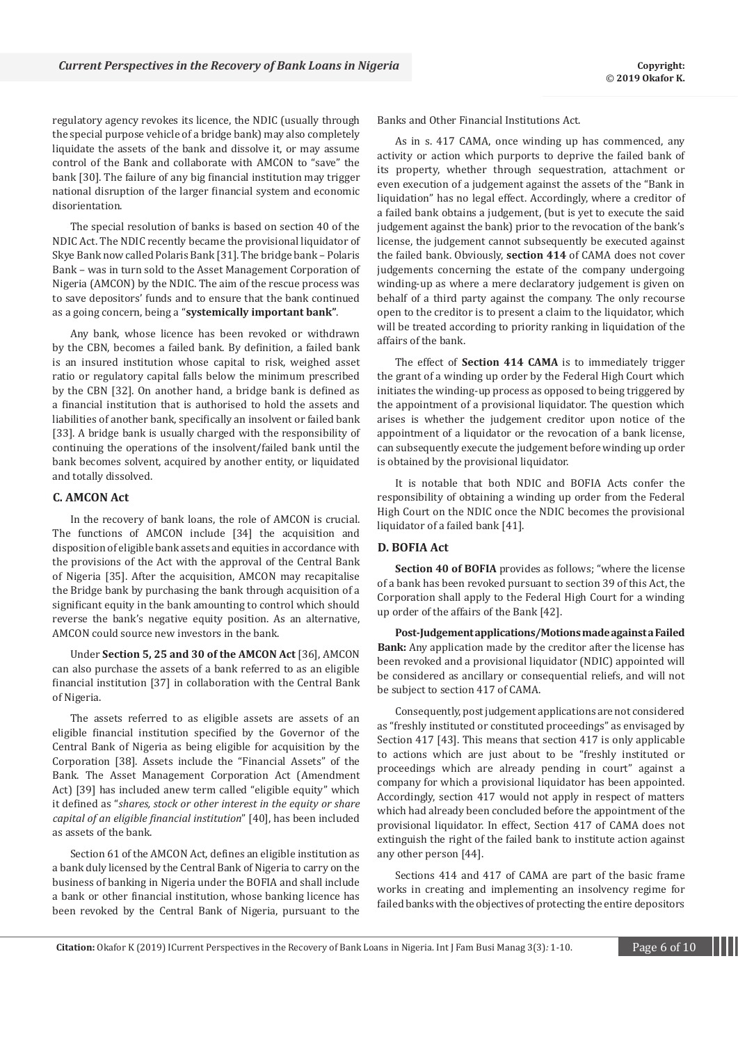regulatory agency revokes its licence, the NDIC (usually through the special purpose vehicle of a bridge bank) may also completely liquidate the assets of the bank and dissolve it, or may assume control of the Bank and collaborate with AMCON to "save" the bank [30]. The failure of any big financial institution may trigger national disruption of the larger financial system and economic disorientation.

The special resolution of banks is based on section 40 of the NDIC Act. The NDIC recently became the provisional liquidator of Skye Bank now called Polaris Bank [31]. The bridge bank – Polaris Bank – was in turn sold to the Asset Management Corporation of Nigeria (AMCON) by the NDIC. The aim of the rescue process was to save depositors' funds and to ensure that the bank continued as a going concern, being a "**systemically important bank"**.

Any bank, whose licence has been revoked or withdrawn by the CBN, becomes a failed bank. By definition, a failed bank is an insured institution whose capital to risk, weighed asset ratio or regulatory capital falls below the minimum prescribed by the CBN [32]. On another hand, a bridge bank is defined as a financial institution that is authorised to hold the assets and liabilities of another bank, specifically an insolvent or failed bank [33]. A bridge bank is usually charged with the responsibility of continuing the operations of the insolvent/failed bank until the bank becomes solvent, acquired by another entity, or liquidated and totally dissolved.

#### **C. AMCON Act**

In the recovery of bank loans, the role of AMCON is crucial. The functions of AMCON include [34] the acquisition and disposition of eligible bank assets and equities in accordance with the provisions of the Act with the approval of the Central Bank of Nigeria [35]. After the acquisition, AMCON may recapitalise the Bridge bank by purchasing the bank through acquisition of a significant equity in the bank amounting to control which should reverse the bank's negative equity position. As an alternative, AMCON could source new investors in the bank.

Under **Section 5, 25 and 30 of the AMCON Act** [36], AMCON can also purchase the assets of a bank referred to as an eligible financial institution [37] in collaboration with the Central Bank of Nigeria.

The assets referred to as eligible assets are assets of an eligible financial institution specified by the Governor of the Central Bank of Nigeria as being eligible for acquisition by the Corporation [38]. Assets include the "Financial Assets" of the Bank. The Asset Management Corporation Act (Amendment Act) [39] has included anew term called "eligible equity" which it defined as "*shares, stock or other interest in the equity or share capital of an eligible financial institution*" [40], has been included as assets of the bank.

Section 61 of the AMCON Act, defines an eligible institution as a bank duly licensed by the Central Bank of Nigeria to carry on the business of banking in Nigeria under the BOFIA and shall include a bank or other financial institution, whose banking licence has been revoked by the Central Bank of Nigeria, pursuant to the Banks and Other Financial Institutions Act.

As in s. 417 CAMA, once winding up has commenced, any activity or action which purports to deprive the failed bank of its property, whether through sequestration, attachment or even execution of a judgement against the assets of the "Bank in liquidation" has no legal effect. Accordingly, where a creditor of a failed bank obtains a judgement, (but is yet to execute the said judgement against the bank) prior to the revocation of the bank's license, the judgement cannot subsequently be executed against the failed bank. Obviously, **section 414** of CAMA does not cover judgements concerning the estate of the company undergoing winding-up as where a mere declaratory judgement is given on behalf of a third party against the company. The only recourse open to the creditor is to present a claim to the liquidator, which will be treated according to priority ranking in liquidation of the affairs of the bank.

The effect of **Section 414 CAMA** is to immediately trigger the grant of a winding up order by the Federal High Court which initiates the winding-up process as opposed to being triggered by the appointment of a provisional liquidator. The question which arises is whether the judgement creditor upon notice of the appointment of a liquidator or the revocation of a bank license, can subsequently execute the judgement before winding up order is obtained by the provisional liquidator.

It is notable that both NDIC and BOFIA Acts confer the responsibility of obtaining a winding up order from the Federal High Court on the NDIC once the NDIC becomes the provisional liquidator of a failed bank [41].

#### **D. BOFIA Act**

**Section 40 of BOFIA** provides as follows; "where the license of a bank has been revoked pursuant to section 39 of this Act, the Corporation shall apply to the Federal High Court for a winding up order of the affairs of the Bank [42].

**Post-Judgement applications/Motions made against a Failed Bank:** Any application made by the creditor after the license has been revoked and a provisional liquidator (NDIC) appointed will be considered as ancillary or consequential reliefs, and will not be subject to section 417 of CAMA.

Consequently, post judgement applications are not considered as "freshly instituted or constituted proceedings" as envisaged by Section 417 [43]. This means that section 417 is only applicable to actions which are just about to be "freshly instituted or proceedings which are already pending in court" against a company for which a provisional liquidator has been appointed. Accordingly, section 417 would not apply in respect of matters which had already been concluded before the appointment of the provisional liquidator. In effect, Section 417 of CAMA does not extinguish the right of the failed bank to institute action against any other person [44].

Sections 414 and 417 of CAMA are part of the basic frame works in creating and implementing an insolvency regime for failed banks with the objectives of protecting the entire depositors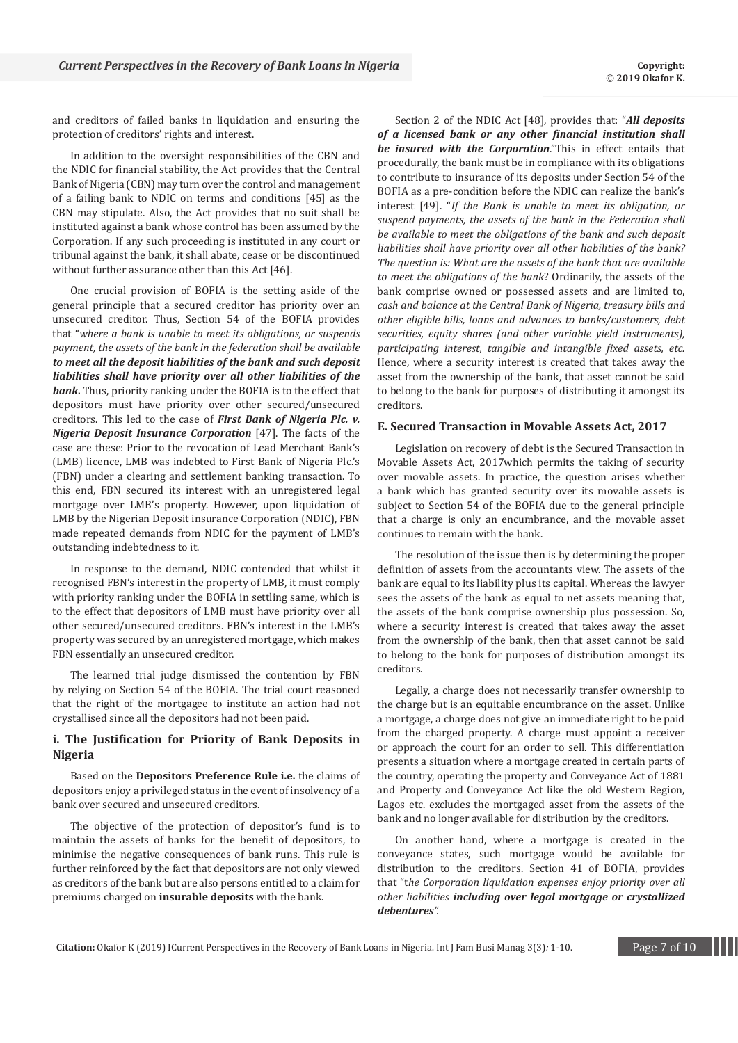and creditors of failed banks in liquidation and ensuring the protection of creditors' rights and interest.

In addition to the oversight responsibilities of the CBN and the NDIC for financial stability, the Act provides that the Central Bank of Nigeria (CBN) may turn over the control and management of a failing bank to NDIC on terms and conditions [45] as the CBN may stipulate. Also, the Act provides that no suit shall be instituted against a bank whose control has been assumed by the Corporation. If any such proceeding is instituted in any court or tribunal against the bank, it shall abate, cease or be discontinued without further assurance other than this Act [46].

One crucial provision of BOFIA is the setting aside of the general principle that a secured creditor has priority over an unsecured creditor. Thus, Section 54 of the BOFIA provides that "*where a bank is unable to meet its obligations, or suspends payment, the assets of the bank in the federation shall be available to meet all the deposit liabilities of the bank and such deposit liabilities shall have priority over all other liabilities of the bank***.** Thus, priority ranking under the BOFIA is to the effect that depositors must have priority over other secured/unsecured creditors. This led to the case of *First Bank of Nigeria Plc. v. Nigeria Deposit Insurance Corporation* [47]. The facts of the case are these: Prior to the revocation of Lead Merchant Bank's (LMB) licence, LMB was indebted to First Bank of Nigeria Plc.'s (FBN) under a clearing and settlement banking transaction. To this end, FBN secured its interest with an unregistered legal mortgage over LMB's property. However, upon liquidation of LMB by the Nigerian Deposit insurance Corporation (NDIC), FBN made repeated demands from NDIC for the payment of LMB's outstanding indebtedness to it.

In response to the demand, NDIC contended that whilst it recognised FBN's interest in the property of LMB, it must comply with priority ranking under the BOFIA in settling same, which is to the effect that depositors of LMB must have priority over all other secured/unsecured creditors. FBN's interest in the LMB's property was secured by an unregistered mortgage, which makes FBN essentially an unsecured creditor.

The learned trial judge dismissed the contention by FBN by relying on Section 54 of the BOFIA. The trial court reasoned that the right of the mortgagee to institute an action had not crystallised since all the depositors had not been paid.

# **i. The Justification for Priority of Bank Deposits in Nigeria**

Based on the **Depositors Preference Rule i.e.** the claims of depositors enjoy a privileged status in the event of insolvency of a bank over secured and unsecured creditors.

The objective of the protection of depositor's fund is to maintain the assets of banks for the benefit of depositors, to minimise the negative consequences of bank runs. This rule is further reinforced by the fact that depositors are not only viewed as creditors of the bank but are also persons entitled to a claim for premiums charged on **insurable deposits** with the bank.

Section 2 of the NDIC Act [48], provides that: "*All deposits of a licensed bank or any other financial institution shall be insured with the Corporation*."This in effect entails that procedurally, the bank must be in compliance with its obligations to contribute to insurance of its deposits under Section 54 of the BOFIA as a pre-condition before the NDIC can realize the bank's interest [49]. "*If the Bank is unable to meet its obligation, or suspend payments, the assets of the bank in the Federation shall be available to meet the obligations of the bank and such deposit liabilities shall have priority over all other liabilities of the bank? The question is: What are the assets of the bank that are available to meet the obligations of the bank*? Ordinarily, the assets of the bank comprise owned or possessed assets and are limited to, *cash and balance at the Central Bank of Nigeria, treasury bills and other eligible bills, loans and advances to banks/customers, debt securities, equity shares (and other variable yield instruments), participating interest, tangible and intangible fixed assets, etc.*  Hence, where a security interest is created that takes away the asset from the ownership of the bank, that asset cannot be said to belong to the bank for purposes of distributing it amongst its creditors.

#### **E. Secured Transaction in Movable Assets Act, 2017**

Legislation on recovery of debt is the Secured Transaction in Movable Assets Act, 2017which permits the taking of security over movable assets. In practice, the question arises whether a bank which has granted security over its movable assets is subject to Section 54 of the BOFIA due to the general principle that a charge is only an encumbrance, and the movable asset continues to remain with the bank.

The resolution of the issue then is by determining the proper definition of assets from the accountants view. The assets of the bank are equal to its liability plus its capital. Whereas the lawyer sees the assets of the bank as equal to net assets meaning that, the assets of the bank comprise ownership plus possession. So, where a security interest is created that takes away the asset from the ownership of the bank, then that asset cannot be said to belong to the bank for purposes of distribution amongst its creditors.

Legally, a charge does not necessarily transfer ownership to the charge but is an equitable encumbrance on the asset. Unlike a mortgage, a charge does not give an immediate right to be paid from the charged property. A charge must appoint a receiver or approach the court for an order to sell. This differentiation presents a situation where a mortgage created in certain parts of the country, operating the property and Conveyance Act of 1881 and Property and Conveyance Act like the old Western Region, Lagos etc. excludes the mortgaged asset from the assets of the bank and no longer available for distribution by the creditors.

On another hand, where a mortgage is created in the conveyance states, such mortgage would be available for distribution to the creditors. Section 41 of BOFIA, provides that "t*he Corporation liquidation expenses enjoy priority over all other liabilities including over legal mortgage or crystallized debentures".*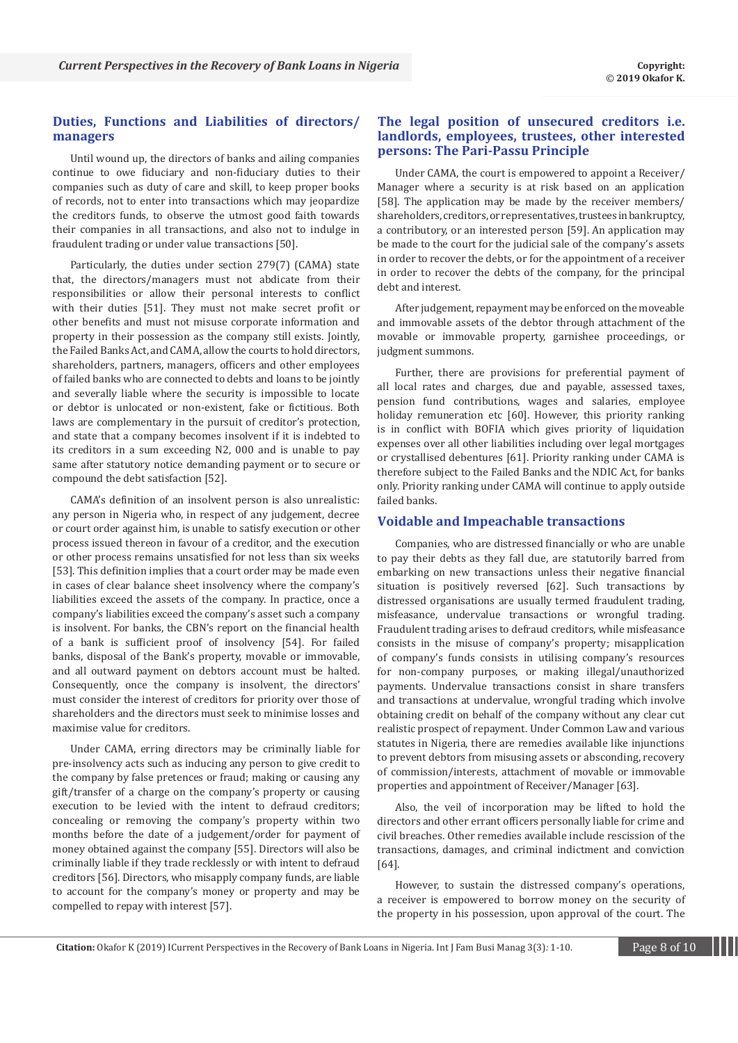# **Duties, Functions and Liabilities of directors/ managers**

Until wound up, the directors of banks and ailing companies continue to owe fiduciary and non-fiduciary duties to their companies such as duty of care and skill, to keep proper books of records, not to enter into transactions which may jeopardize the creditors funds, to observe the utmost good faith towards their companies in all transactions, and also not to indulge in fraudulent trading or under value transactions [50].

Particularly, the duties under section 279(7) (CAMA) state that, the directors/managers must not abdicate from their responsibilities or allow their personal interests to conflict with their duties [51]. They must not make secret profit or other benefits and must not misuse corporate information and property in their possession as the company still exists. Jointly, the Failed Banks Act, and CAMA, allow the courts to hold directors, shareholders, partners, managers, officers and other employees of failed banks who are connected to debts and loans to be jointly and severally liable where the security is impossible to locate or debtor is unlocated or non-existent, fake or fictitious. Both laws are complementary in the pursuit of creditor's protection, and state that a company becomes insolvent if it is indebted to its creditors in a sum exceeding N2, 000 and is unable to pay same after statutory notice demanding payment or to secure or compound the debt satisfaction [52].

CAMA's definition of an insolvent person is also unrealistic: any person in Nigeria who, in respect of any judgement, decree or court order against him, is unable to satisfy execution or other process issued thereon in favour of a creditor, and the execution or other process remains unsatisfied for not less than six weeks [53]. This definition implies that a court order may be made even in cases of clear balance sheet insolvency where the company's liabilities exceed the assets of the company. In practice, once a company's liabilities exceed the company's asset such a company is insolvent. For banks, the CBN's report on the financial health of a bank is sufficient proof of insolvency [54]. For failed banks, disposal of the Bank's property, movable or immovable, and all outward payment on debtors account must be halted. Consequently, once the company is insolvent, the directors' must consider the interest of creditors for priority over those of shareholders and the directors must seek to minimise losses and maximise value for creditors.

Under CAMA, erring directors may be criminally liable for pre-insolvency acts such as inducing any person to give credit to the company by false pretences or fraud; making or causing any gift/transfer of a charge on the company's property or causing execution to be levied with the intent to defraud creditors; concealing or removing the company's property within two months before the date of a judgement/order for payment of money obtained against the company [55]. Directors will also be criminally liable if they trade recklessly or with intent to defraud creditors [56]. Directors, who misapply company funds, are liable to account for the company's money or property and may be compelled to repay with interest [57].

# **The legal position of unsecured creditors i.e. landlords, employees, trustees, other interested persons: The Pari-Passu Principle**

Under CAMA, the court is empowered to appoint a Receiver/ Manager where a security is at risk based on an application [58]. The application may be made by the receiver members/ shareholders, creditors, or representatives, trustees in bankruptcy, a contributory, or an interested person [59]. An application may be made to the court for the judicial sale of the company's assets in order to recover the debts, or for the appointment of a receiver in order to recover the debts of the company, for the principal debt and interest.

After judgement, repayment may be enforced on the moveable and immovable assets of the debtor through attachment of the movable or immovable property, garnishee proceedings, or judgment summons.

Further, there are provisions for preferential payment of all local rates and charges, due and payable, assessed taxes, pension fund contributions, wages and salaries, employee holiday remuneration etc [60]. However, this priority ranking is in conflict with BOFIA which gives priority of liquidation expenses over all other liabilities including over legal mortgages or crystallised debentures [61]. Priority ranking under CAMA is therefore subject to the Failed Banks and the NDIC Act, for banks only. Priority ranking under CAMA will continue to apply outside failed banks.

#### **Voidable and Impeachable transactions**

Companies, who are distressed financially or who are unable to pay their debts as they fall due, are statutorily barred from embarking on new transactions unless their negative financial situation is positively reversed [62]. Such transactions by distressed organisations are usually termed fraudulent trading, misfeasance, undervalue transactions or wrongful trading. Fraudulent trading arises to defraud creditors, while misfeasance consists in the misuse of company's property; misapplication of company's funds consists in utilising company's resources for non-company purposes, or making illegal/unauthorized payments. Undervalue transactions consist in share transfers and transactions at undervalue, wrongful trading which involve obtaining credit on behalf of the company without any clear cut realistic prospect of repayment. Under Common Law and various statutes in Nigeria, there are remedies available like injunctions to prevent debtors from misusing assets or absconding, recovery of commission/interests, attachment of movable or immovable properties and appointment of Receiver/Manager [63].

Also, the veil of incorporation may be lifted to hold the directors and other errant officers personally liable for crime and civil breaches. Other remedies available include rescission of the transactions, damages, and criminal indictment and conviction [64].

However, to sustain the distressed company's operations, a receiver is empowered to borrow money on the security of the property in his possession, upon approval of the court. The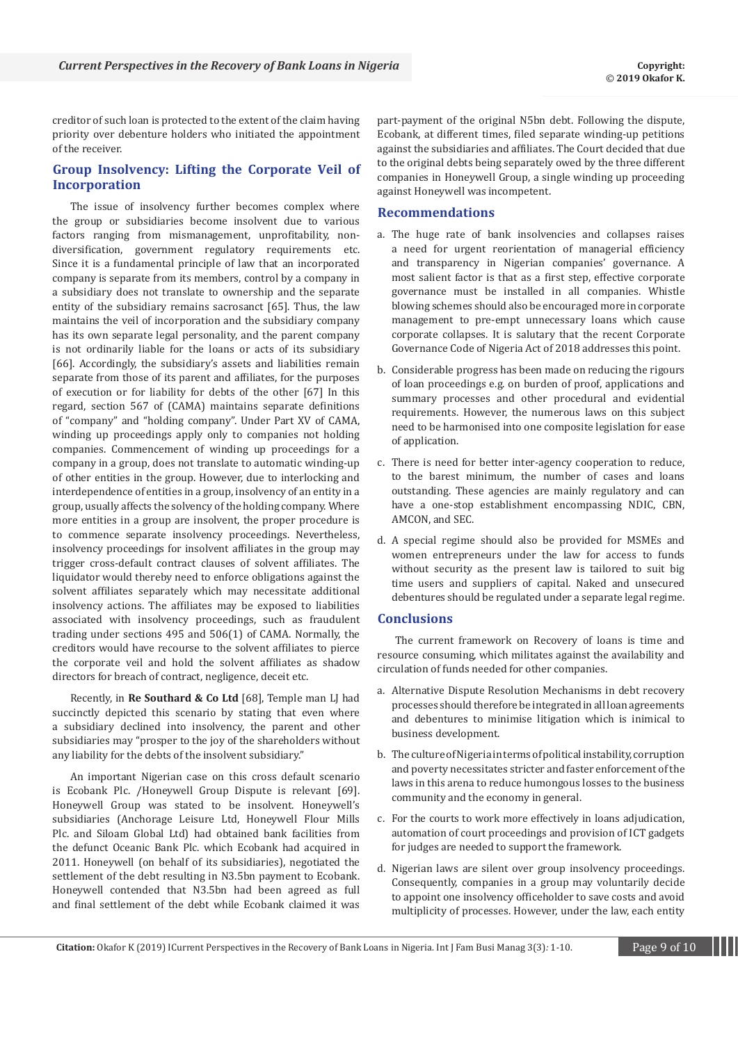creditor of such loan is protected to the extent of the claim having priority over debenture holders who initiated the appointment of the receiver.

# **Group Insolvency: Lifting the Corporate Veil of Incorporation**

The issue of insolvency further becomes complex where the group or subsidiaries become insolvent due to various factors ranging from mismanagement, unprofitability, nondiversification, government regulatory requirements etc. Since it is a fundamental principle of law that an incorporated company is separate from its members, control by a company in a subsidiary does not translate to ownership and the separate entity of the subsidiary remains sacrosanct [65]. Thus, the law maintains the veil of incorporation and the subsidiary company has its own separate legal personality, and the parent company is not ordinarily liable for the loans or acts of its subsidiary [66]. Accordingly, the subsidiary's assets and liabilities remain separate from those of its parent and affiliates, for the purposes of execution or for liability for debts of the other [67] In this regard, section 567 of (CAMA) maintains separate definitions of "company" and "holding company". Under Part XV of CAMA, winding up proceedings apply only to companies not holding companies. Commencement of winding up proceedings for a company in a group, does not translate to automatic winding-up of other entities in the group. However, due to interlocking and interdependence of entities in a group, insolvency of an entity in a group, usually affects the solvency of the holding company. Where more entities in a group are insolvent, the proper procedure is to commence separate insolvency proceedings. Nevertheless, insolvency proceedings for insolvent affiliates in the group may trigger cross-default contract clauses of solvent affiliates. The liquidator would thereby need to enforce obligations against the solvent affiliates separately which may necessitate additional insolvency actions. The affiliates may be exposed to liabilities associated with insolvency proceedings, such as fraudulent trading under sections 495 and 506(1) of CAMA. Normally, the creditors would have recourse to the solvent affiliates to pierce the corporate veil and hold the solvent affiliates as shadow directors for breach of contract, negligence, deceit etc.

Recently, in **Re Southard & Co Ltd** [68], Temple man LJ had succinctly depicted this scenario by stating that even where a subsidiary declined into insolvency, the parent and other subsidiaries may "prosper to the joy of the shareholders without any liability for the debts of the insolvent subsidiary."

An important Nigerian case on this cross default scenario is Ecobank Plc. /Honeywell Group Dispute is relevant [69]. Honeywell Group was stated to be insolvent. Honeywell's subsidiaries (Anchorage Leisure Ltd, Honeywell Flour Mills Plc. and Siloam Global Ltd) had obtained bank facilities from the defunct Oceanic Bank Plc. which Ecobank had acquired in 2011. Honeywell (on behalf of its subsidiaries), negotiated the settlement of the debt resulting in N3.5bn payment to Ecobank. Honeywell contended that N3.5bn had been agreed as full and final settlement of the debt while Ecobank claimed it was

part-payment of the original N5bn debt. Following the dispute, Ecobank, at different times, filed separate winding-up petitions against the subsidiaries and affiliates. The Court decided that due to the original debts being separately owed by the three different companies in Honeywell Group, a single winding up proceeding against Honeywell was incompetent.

# **Recommendations**

- a. The huge rate of bank insolvencies and collapses raises a need for urgent reorientation of managerial efficiency and transparency in Nigerian companies' governance. A most salient factor is that as a first step, effective corporate governance must be installed in all companies. Whistle blowing schemes should also be encouraged more in corporate management to pre-empt unnecessary loans which cause corporate collapses. It is salutary that the recent Corporate Governance Code of Nigeria Act of 2018 addresses this point.
- b. Considerable progress has been made on reducing the rigours of loan proceedings e.g. on burden of proof, applications and summary processes and other procedural and evidential requirements. However, the numerous laws on this subject need to be harmonised into one composite legislation for ease of application.
- c. There is need for better inter-agency cooperation to reduce, to the barest minimum, the number of cases and loans outstanding. These agencies are mainly regulatory and can have a one-stop establishment encompassing NDIC, CBN, AMCON, and SEC.
- d. A special regime should also be provided for MSMEs and women entrepreneurs under the law for access to funds without security as the present law is tailored to suit big time users and suppliers of capital. Naked and unsecured debentures should be regulated under a separate legal regime.

## **Conclusions**

The current framework on Recovery of loans is time and resource consuming, which militates against the availability and circulation of funds needed for other companies.

- a. Alternative Dispute Resolution Mechanisms in debt recovery processes should therefore be integrated in all loan agreements and debentures to minimise litigation which is inimical to business development.
- b. The culture of Nigeria in terms of political instability, corruption and poverty necessitates stricter and faster enforcement of the laws in this arena to reduce humongous losses to the business community and the economy in general.
- c. For the courts to work more effectively in loans adjudication, automation of court proceedings and provision of ICT gadgets for judges are needed to support the framework.
- d. Nigerian laws are silent over group insolvency proceedings. Consequently, companies in a group may voluntarily decide to appoint one insolvency officeholder to save costs and avoid multiplicity of processes. However, under the law, each entity